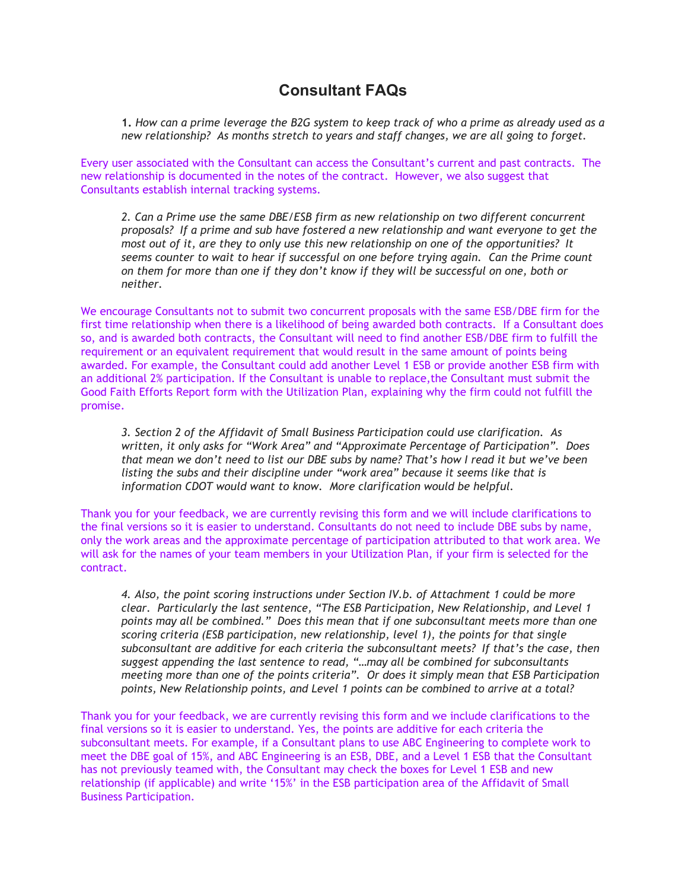## **Consultant FAQs**

1. How can a prime leverage the B2G system to keep track of who a prime as already used as a *new relationship? As months stretch to years and staff changes, we are all going to forget.*

Every user associated with the Consultant can access the Consultant's current and past contracts. The new relationship is documented in the notes of the contract. However, we also suggest that Consultants establish internal tracking systems.

*2. Can a Prime use the same DBE/ESB firm as new relationship on two different concurrent proposals? If a prime and sub have fostered a new relationship and want everyone to get the most out of it, are they to only use this new relationship on one of the opportunities? It seems counter to wait to hear if successful on one before trying again. Can the Prime count on them for more than one if they don't know if they will be successful on one, both or neither.*

We encourage Consultants not to submit two concurrent proposals with the same ESB/DBE firm for the first time relationship when there is a likelihood of being awarded both contracts. If a Consultant does so, and is awarded both contracts, the Consultant will need to find another ESB/DBE firm to fulfill the requirement or an equivalent requirement that would result in the same amount of points being awarded. For example, the Consultant could add another Level 1 ESB or provide another ESB firm with an additional 2% participation. If the Consultant is unable to replace,the Consultant must submit the Good Faith Efforts Report form with the Utilization Plan, explaining why the firm could not fulfill the promise.

*3. Section 2 of the Affidavit of Small Business Participation could use clarification. As written, it only asks for "Work Area" and "Approximate Percentage of Participation". Does* that mean we don't need to list our DBE subs by name? That's how I read it but we've been *listing the subs and their discipline under "work area" because it seems like that is information CDOT would want to know. More clarification would be helpful.*

Thank you for your feedback, we are currently revising this form and we will include clarifications to the final versions so it is easier to understand. Consultants do not need to include DBE subs by name, only the work areas and the approximate percentage of participation attributed to that work area. We will ask for the names of your team members in your Utilization Plan, if your firm is selected for the contract.

*4. Also, the point scoring instructions under Section IV.b. of Attachment 1 could be more clear. Particularly the last sentence, "The ESB Participation, New Relationship, and Level 1 points may all be combined." Does this mean that if one subconsultant meets more than one scoring criteria (ESB participation, new relationship, level 1), the points for that single subconsultant are additive for each criteria the subconsultant meets? If that's the case, then suggest appending the last sentence to read, "…may all be combined for subconsultants meeting more than one of the points criteria". Or does it simply mean that ESB Participation points, New Relationship points, and Level 1 points can be combined to arrive at a total?*

Thank you for your feedback, we are currently revising this form and we include clarifications to the final versions so it is easier to understand. Yes, the points are additive for each criteria the subconsultant meets. For example, if a Consultant plans to use ABC Engineering to complete work to meet the DBE goal of 15%, and ABC Engineering is an ESB, DBE, and a Level 1 ESB that the Consultant has not previously teamed with, the Consultant may check the boxes for Level 1 ESB and new relationship (if applicable) and write '15%' in the ESB participation area of the Affidavit of Small Business Participation.